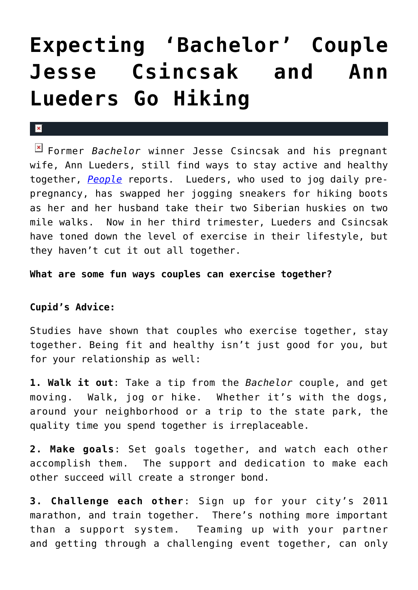## **[Expecting 'Bachelor' Couple](https://cupidspulse.com/6577/expecting-%e2%80%98bachelor%e2%80%99-couple-jesse-csincsak-and-ann-lueders-go-hiking/) [Jesse Csincsak and Ann](https://cupidspulse.com/6577/expecting-%e2%80%98bachelor%e2%80%99-couple-jesse-csincsak-and-ann-lueders-go-hiking/) [Lueders Go Hiking](https://cupidspulse.com/6577/expecting-%e2%80%98bachelor%e2%80%99-couple-jesse-csincsak-and-ann-lueders-go-hiking/)**

## $\mathbf{x}$

Former *Bachelor* winner Jesse Csincsak and his pregnant wife, Ann Lueders, still find ways to stay active and healthy together, *[People](http://celebritybabies.people.com/2010/11/12/bumpwatch-jesse-csincsak-and-ann-lueders-hit-the-hiking-trail/)* reports. Lueders, who used to jog daily prepregnancy, has swapped her jogging sneakers for hiking boots as her and her husband take their two Siberian huskies on two mile walks. Now in her third trimester, Lueders and Csincsak have toned down the level of exercise in their lifestyle, but they haven't cut it out all together.

## **What are some fun ways couples can exercise together?**

## **Cupid's Advice:**

Studies have shown that couples who exercise together, stay together. Being fit and healthy isn't just good for you, but for your relationship as well:

**1. Walk it out**: Take a tip from the *Bachelor* couple, and get moving. Walk, jog or hike. Whether it's with the dogs, around your neighborhood or a trip to the state park, the quality time you spend together is irreplaceable.

**2. Make goals**: Set goals together, and watch each other accomplish them. The support and dedication to make each other succeed will create a stronger bond.

**3. Challenge each other**: Sign up for your city's 2011 marathon, and train together. There's nothing more important than a support system. Teaming up with your partner and getting through a challenging event together, can only